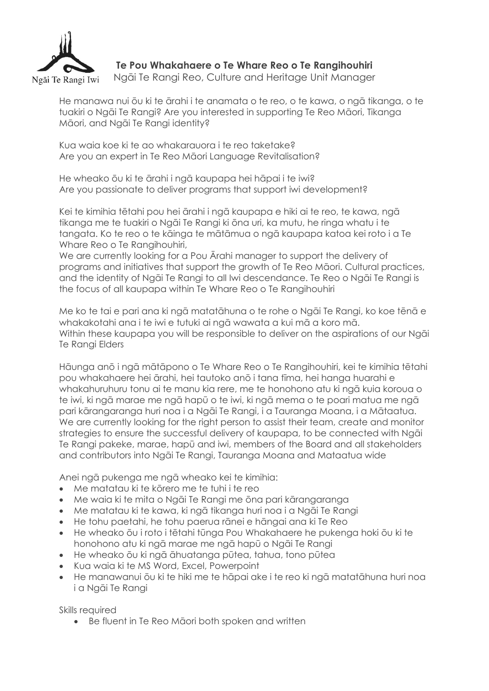

## **Te Pou Whakahaere o Te Whare Reo o Te Rangihouhiri**

Ngāi Te Rangi Reo, Culture and Heritage Unit Manager

He manawa nui ōu ki te ārahi i te anamata o te reo, o te kawa, o ngā tikanga, o te tuakiri o Ngāi Te Rangi? Are you interested in supporting Te Reo Māori, Tikanga Māori, and Ngāi Te Rangi identity?

Kua waia koe ki te ao whakarauora i te reo taketake? Are you an expert in Te Reo Māori Language Revitalisation?

He wheako ōu ki te ārahi i ngā kaupapa hei hāpai i te iwi? Are you passionate to deliver programs that support iwi development?

Kei te kimihia tētahi pou hei ārahi i ngā kaupapa e hiki ai te reo, te kawa, ngā tikanga me te tuakiri o Ngāi Te Rangi ki ōna uri, ka mutu, he ringa whatu i te tangata. Ko te reo o te kāinga te mātāmua o ngā kaupapa katoa kei roto i a Te Whare Reo o Te Rangihouhiri,

We are currently looking for a Pou Arahi manager to support the delivery of programs and initiatives that support the growth of Te Reo Māori. Cultural practices, and the identity of Ngāi Te Rangi to all Iwi descendance. Te Reo o Ngāi Te Rangi is the focus of all kaupapa within Te Whare Reo o Te Rangihouhiri

Me ko te tai e pari ana ki ngā matatāhuna o te rohe o Ngāi Te Rangi, ko koe tēnā e whakakotahi ana i te iwi e tutuki ai ngā wawata a kui mā a koro mā. Within these kaupapa you will be responsible to deliver on the aspirations of our Naāi Te Rangi Elders

Hāunga anō i ngā mātāpono o Te Whare Reo o Te Rangihouhiri, kei te kimihia tētahi pou whakahaere hei ārahi, hei tautoko anō i tana tīma, hei hanga huarahi e whakahuruhuru tonu ai te manu kia rere, me te honohono atu ki ngā kuia koroua o te iwi, ki ngā marae me ngā hapū o te iwi, ki ngā mema o te poari matua me ngā pari kārangaranga huri noa i a Ngāi Te Rangi, i a Tauranga Moana, i a Mātaatua. We are currently looking for the right person to assist their team, create and monitor strategies to ensure the successful delivery of kaupapa, to be connected with Ngāi Te Rangi pakeke, marae, hapū and iwi, members of the Board and all stakeholders and contributors into Ngāi Te Rangi, Tauranga Moana and Mataatua wide

Anei ngā pukenga me ngā wheako kei te kimihia:

- Me matatau ki te kōrero me te tuhi i te reo
- Me waia ki te mita o Ngāi Te Rangi me ōna pari kārangaranga
- Me matatau ki te kawa, ki ngā tikanga huri noa i a Ngāi Te Rangi
- He tohu paetahi, he tohu paerua rānei e hāngai ana ki Te Reo
- He wheako ōu i roto i tētahi tūnga Pou Whakahaere he pukenga hoki ōu ki te honohono atu ki ngā marae me ngā hapū o Ngāi Te Rangi
- He wheako ōu ki ngā āhuatanga pūtea, tahua, tono pūtea
- Kua waia ki te MS Word, Excel, Powerpoint
- He manawanui ōu ki te hiki me te hāpai ake i te reo ki ngā matatāhuna huri noa i a Ngāi Te Rangi

Skills required

• Be fluent in Te Reo Māori both spoken and written